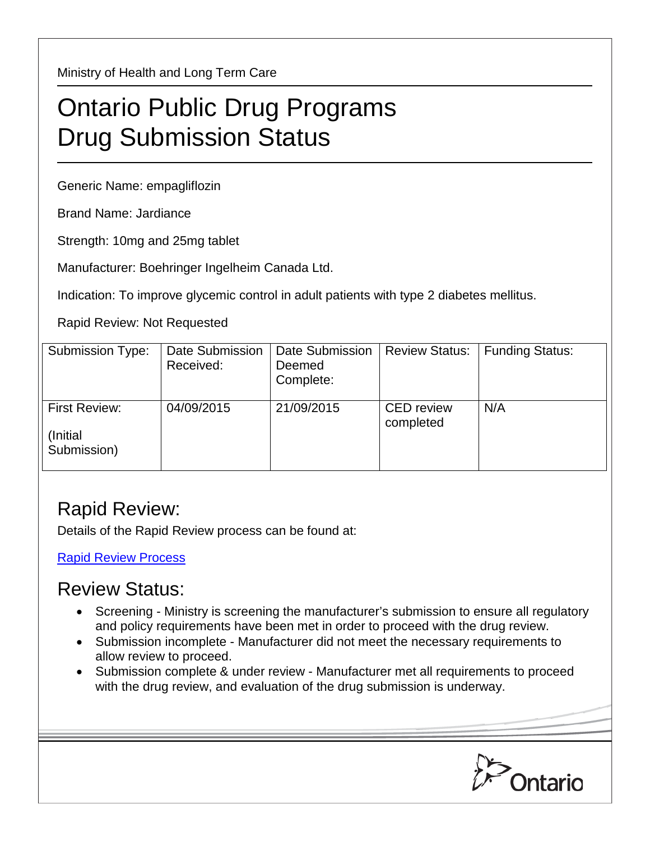Ministry of Health and Long Term Care

## Ontario Public Drug Programs Drug Submission Status

Generic Name: empagliflozin

Brand Name: Jardiance

Strength: 10mg and 25mg tablet

Manufacturer: Boehringer Ingelheim Canada Ltd.

Indication: To improve glycemic control in adult patients with type 2 diabetes mellitus.

Rapid Review: Not Requested

| Submission Type:                         | Date Submission<br>Received: | <b>Date Submission</b><br>Deemed<br>Complete: | <b>Review Status:</b>          | <b>Funding Status:</b> |
|------------------------------------------|------------------------------|-----------------------------------------------|--------------------------------|------------------------|
| First Review:<br>(Initial<br>Submission) | 04/09/2015                   | 21/09/2015                                    | <b>CED</b> review<br>completed | N/A                    |

## Rapid Review:

Details of the Rapid Review process can be found at:

[Rapid Review Process](http://www.health.gov.on.ca/en/pro/programs/drugs/drug_submissions/rapid_review_process.aspx)

## Review Status:

- Screening Ministry is screening the manufacturer's submission to ensure all regulatory and policy requirements have been met in order to proceed with the drug review.
- Submission incomplete Manufacturer did not meet the necessary requirements to allow review to proceed.
- Submission complete & under review Manufacturer met all requirements to proceed with the drug review, and evaluation of the drug submission is underway.